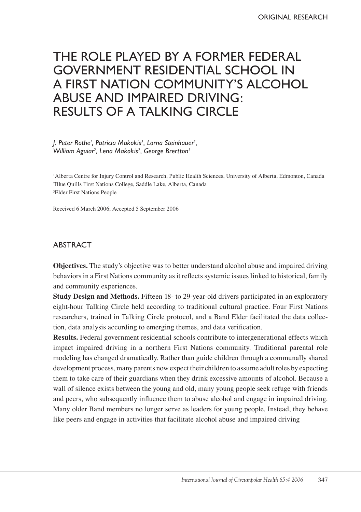# The role played by a former federal government residential school in a first nation community's alcohol abuse and impaired driving: results of a talking circle

*J. Peter Rothe1 , Patricia Makokis2 , Lorna Steinhauer2 , William Aguiar2 , Lena Makokis2 , George Brertton3*

1 Alberta Centre for Injury Control and Research, Public Health Sciences, University of Alberta, Edmonton, Canada 2 Blue Quills First Nations College, Saddle Lake, Alberta, Canada 3 Elder First Nations People

Received 6 March 2006; Accepted 5 September 2006

# **ABSTRACT**

**Objectives.** The study's objective was to better understand alcohol abuse and impaired driving behaviors in a First Nations community as it reflects systemic issues linked to historical, family and community experiences.

**Study Design and Methods.** Fifteen 18- to 29-year-old drivers participated in an exploratory eight-hour Talking Circle held according to traditional cultural practice. Four First Nations researchers, trained in Talking Circle protocol, and a Band Elder facilitated the data collection, data analysis according to emerging themes, and data verification.

**Results.** Federal government residential schools contribute to intergenerational effects which impact impaired driving in a northern First Nations community. Traditional parental role modeling has changed dramatically. Rather than guide children through a communally shared development process, many parents now expect their children to assume adult roles by expecting them to take care of their guardians when they drink excessive amounts of alcohol. Because a wall of silence exists between the young and old, many young people seek refuge with friends and peers, who subsequently influence them to abuse alcohol and engage in impaired driving. Many older Band members no longer serve as leaders for young people. Instead, they behave like peers and engage in activities that facilitate alcohol abuse and impaired driving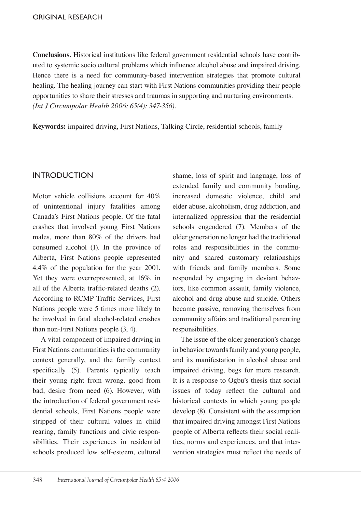**Conclusions.** Historical institutions like federal government residential schools have contributed to systemic socio cultural problems which influence alcohol abuse and impaired driving. Hence there is a need for community-based intervention strategies that promote cultural healing. The healing journey can start with First Nations communities providing their people opportunities to share their stresses and traumas in supporting and nurturing environments. *(Int J Circumpolar Health 2006; 65(4): 347-356).*

**Keywords:** impaired driving, First Nations, Talking Circle, residential schools, family

## **INTRODUCTION**

Motor vehicle collisions account for 40% of unintentional injury fatalities among Canada's First Nations people. Of the fatal crashes that involved young First Nations males, more than 80% of the drivers had consumed alcohol (1). In the province of Alberta, First Nations people represented 4.4% of the population for the year 2001. Yet they were overrepresented, at 16%, in all of the Alberta traffic-related deaths (2). According to RCMP Traffic Services, First Nations people were 5 times more likely to be involved in fatal alcohol-related crashes than non-First Nations people (3, 4).

A vital component of impaired driving in First Nations communities is the community context generally, and the family context specifically (5). Parents typically teach their young right from wrong, good from bad, desire from need (6). However, with the introduction of federal government residential schools, First Nations people were stripped of their cultural values in child rearing, family functions and civic responsibilities. Their experiences in residential schools produced low self-esteem, cultural

shame, loss of spirit and language, loss of extended family and community bonding, increased domestic violence, child and elder abuse, alcoholism, drug addiction, and internalized oppression that the residential schools engendered (7). Members of the older generation no longer had the traditional roles and responsibilities in the community and shared customary relationships with friends and family members. Some responded by engaging in deviant behaviors, like common assault, family violence, alcohol and drug abuse and suicide. Others became passive, removing themselves from community affairs and traditional parenting responsibilities.

The issue of the older generation's change in behavior towards family and young people, and its manifestation in alcohol abuse and impaired driving, begs for more research. It is a response to Ogbu's thesis that social issues of today reflect the cultural and historical contexts in which young people develop (8). Consistent with the assumption that impaired driving amongst First Nations people of Alberta reflects their social realities, norms and experiences, and that intervention strategies must reflect the needs of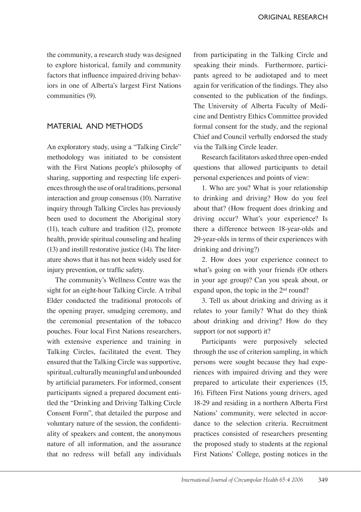the community, a research study was designed to explore historical, family and community factors that influence impaired driving behaviors in one of Alberta's largest First Nations communities (9).

# MATERIAL AND METHODS

An exploratory study, using a "Talking Circle" methodology was initiated to be consistent with the First Nations people's philosophy of sharing, supporting and respecting life experiences through the use of oral traditions, personal interaction and group consensus (10). Narrative inquiry through Talking Circles has previously been used to document the Aboriginal story (11), teach culture and tradition (12), promote health, provide spiritual counseling and healing (13) and instill restorative justice (14). The literature shows that it has not been widely used for injury prevention, or traffic safety.

The community's Wellness Centre was the sight for an eight-hour Talking Circle. A tribal Elder conducted the traditional protocols of the opening prayer, smudging ceremony, and the ceremonial presentation of the tobacco pouches. Four local First Nations researchers, with extensive experience and training in Talking Circles, facilitated the event. They ensured that the Talking Circle was supportive, spiritual, culturally meaningful and unbounded by artificial parameters. For informed, consent participants signed a prepared document entitled the "Drinking and Driving Talking Circle Consent Form", that detailed the purpose and voluntary nature of the session, the confidentiality of speakers and content, the anonymous nature of all information, and the assurance that no redress will befall any individuals

from participating in the Talking Circle and speaking their minds. Furthermore, participants agreed to be audiotaped and to meet again for verification of the findings. They also consented to the publication of the findings. The University of Alberta Faculty of Medicine and Dentistry Ethics Committee provided formal consent for the study, and the regional Chief and Council verbally endorsed the study via the Talking Circle leader.

Research facilitators asked three open-ended questions that allowed participants to detail personal experiences and points of view:

1. Who are you? What is your relationship to drinking and driving? How do you feel about that? (How frequent does drinking and driving occur? What's your experience? Is there a difference between 18-year-olds and 29-year-olds in terms of their experiences with drinking and driving?)

2. How does your experience connect to what's going on with your friends (Or others in your age group)? Can you speak about, or expand upon, the topic in the 2<sup>nd</sup> round?

3. Tell us about drinking and driving as it relates to your family? What do they think about drinking and driving? How do they support (or not support) it?

Participants were purposively selected through the use of criterion sampling, in which persons were sought because they had experiences with impaired driving and they were prepared to articulate their experiences (15, 16). Fifteen First Nations young drivers, aged 18-29 and residing in a northern Alberta First Nations' community, were selected in accordance to the selection criteria. Recruitment practices consisted of researchers presenting the proposed study to students at the regional First Nations' College, posting notices in the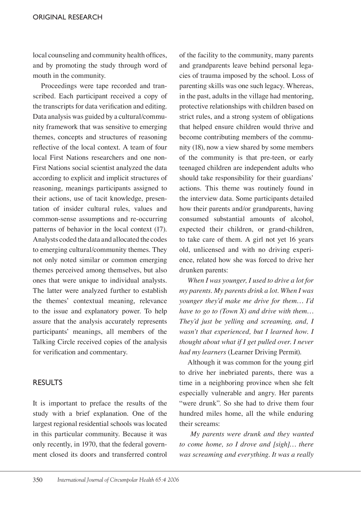local counseling and community health offices, and by promoting the study through word of mouth in the community.

Proceedings were tape recorded and transcribed. Each participant received a copy of the transcripts for data verification and editing. Data analysis was guided by a cultural/community framework that was sensitive to emerging themes, concepts and structures of reasoning reflective of the local context. A team of four local First Nations researchers and one non-First Nations social scientist analyzed the data according to explicit and implicit structures of reasoning, meanings participants assigned to their actions, use of tacit knowledge, presentation of insider cultural rules, values and common-sense assumptions and re-occurring patterns of behavior in the local context (17). Analysts coded the data and allocated the codes to emerging cultural/community themes. They not only noted similar or common emerging themes perceived among themselves, but also ones that were unique to individual analysts. The latter were analyzed further to establish the themes' contextual meaning, relevance to the issue and explanatory power. To help assure that the analysis accurately represents participants' meanings, all members of the Talking Circle received copies of the analysis for verification and commentary.

## RESULTS

It is important to preface the results of the study with a brief explanation. One of the largest regional residential schools was located in this particular community. Because it was only recently, in 1970, that the federal government closed its doors and transferred control

of the facility to the community, many parents and grandparents leave behind personal legacies of trauma imposed by the school. Loss of parenting skills was one such legacy. Whereas, in the past, adults in the village had mentoring, protective relationships with children based on strict rules, and a strong system of obligations that helped ensure children would thrive and become contributing members of the community (18), now a view shared by some members of the community is that pre-teen, or early teenaged children are independent adults who should take responsibility for their guardians' actions. This theme was routinely found in the interview data. Some participants detailed how their parents and/or grandparents, having consumed substantial amounts of alcohol, expected their children, or grand-children, to take care of them. A girl not yet 16 years old, unlicensed and with no driving experience, related how she was forced to drive her drunken parents:

*When I was younger, I used to drive a lot for my parents. My parents drink a lot. When I was younger they'd make me drive for them… I'd have to go to (Town X) and drive with them… They'd just be yelling and screaming, and, I wasn't that experienced, but I learned how. I thought about what if I get pulled over. I never had my learners* (Learner Driving Permit).

Although it was common for the young girl to drive her inebriated parents, there was a time in a neighboring province when she felt especially vulnerable and angry. Her parents "were drunk". So she had to drive them four hundred miles home, all the while enduring their screams:

*My parents were drunk and they wanted to come home, so I drove and [sigh]… there was screaming and everything. It was a really*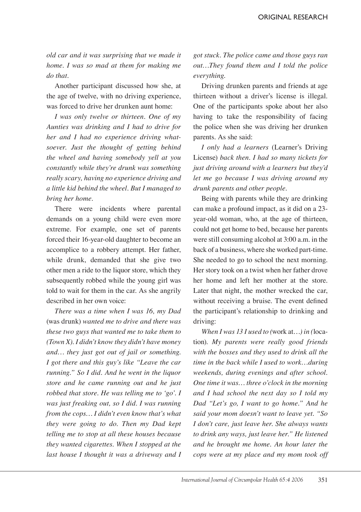*old car and it was surprising that we made it home. I was so mad at them for making me do that.*

Another participant discussed how she, at the age of twelve, with no driving experience, was forced to drive her drunken aunt home:

*I was only twelve or thirteen. One of my Aunties was drinking and I had to drive for her and I had no experience driving whatsoever. Just the thought of getting behind the wheel and having somebody yell at you constantly while they're drunk was something really scary, having no experience driving and a little kid behind the wheel. But I managed to bring her home.*

There were incidents where parental demands on a young child were even more extreme. For example, one set of parents forced their 16-year-old daughter to become an accomplice to a robbery attempt. Her father, while drunk, demanded that she give two other men a ride to the liquor store, which they subsequently robbed while the young girl was told to wait for them in the car. As she angrily described in her own voice:

*There was a time when I was 16, my Dad*  (was drunk) *wanted me to drive and there was these two guys that wanted me to take them to (Town X). I didn't know they didn't have money and… they just got out of jail or something. I got there and this guy's like "Leave the car running." So I did. And he went in the liquor store and he came running out and he just robbed that store. He was telling me to 'go'. I was just freaking out, so I did. I was running from the cops… I didn't even know that's what they were going to do. Then my Dad kept telling me to stop at all these houses because they wanted cigarettes. When I stopped at the last house I thought it was a driveway and I* 

*got stuck. The police came and those guys ran out…They found them and I told the police everything.*

Driving drunken parents and friends at age thirteen without a driver's license is illegal. One of the participants spoke about her also having to take the responsibility of facing the police when she was driving her drunken parents. As she said:

*I only had a learners* (Learner's Driving License) *back then. I had so many tickets for just driving around with a learners but they'd let me go because I was driving around my drunk parents and other people.*

Being with parents while they are drinking can make a profound impact, as it did on a 23 year-old woman, who, at the age of thirteen, could not get home to bed, because her parents were still consuming alcohol at 3:00 a.m. in the back of a business, where she worked part-time. She needed to go to school the next morning. Her story took on a twist when her father drove her home and left her mother at the store. Later that night, the mother wrecked the car, without receiving a bruise. The event defined the participant's relationship to drinking and driving:

*When I was 13 I used to (*work at…*) in (*location)*. My parents were really good friends with the bosses and they used to drink all the time in the back while I used to work…during weekends, during evenings and after school. One time it was… three o'clock in the morning and I had school the next day so I told my Dad "Let's go, I want to go home." And he said your mom doesn't want to leave yet. "So I don't care, just leave her. She always wants to drink any ways, just leave her." He listened and he brought me home. An hour later the cops were at my place and my mom took off*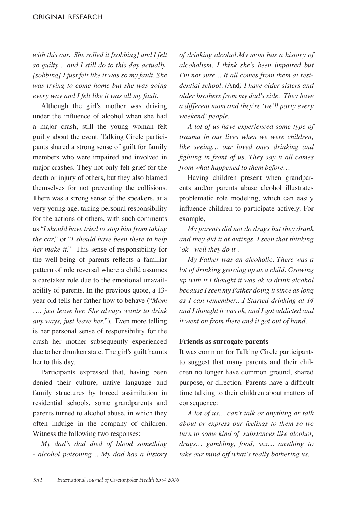*with this car. She rolled it [sobbing] and I felt so guilty… and I still do to this day actually. [sobbing] I just felt like it was so my fault. She was trying to come home but she was going every way and I felt like it was all my fault.* 

Although the girl's mother was driving under the influence of alcohol when she had a major crash, still the young woman felt guilty about the event. Talking Circle participants shared a strong sense of guilt for family members who were impaired and involved in major crashes. They not only felt grief for the death or injury of others, but they also blamed themselves for not preventing the collisions. There was a strong sense of the speakers, at a very young age, taking personal responsibility for the actions of others, with such comments as "*I should have tried to stop him from taking the car*," or "*I should have been there to help her make it*." This sense of responsibility for the well-being of parents reflects a familiar pattern of role reversal where a child assumes a caretaker role due to the emotional unavailability of parents. In the previous quote, a 13 year-old tells her father how to behave ("*Mom* …. *just leave her. She always wants to drink any ways, just leave her.*"). Even more telling is her personal sense of responsibility for the crash her mother subsequently experienced due to her drunken state. The girl's guilt haunts her to this day.

Participants expressed that, having been denied their culture, native language and family structures by forced assimilation in residential schools, some grandparents and parents turned to alcohol abuse, in which they often indulge in the company of children. Witness the following two responses:

*My dad's dad died of blood something - alcohol poisoning …My dad has a history*  *of drinking alcohol.My mom has a history of alcoholism. I think she's been impaired but I'm not sure… It all comes from them at residential school. (*And*) I have older sisters and older brothers from my dad's side. They have a different mom and they're 'we'll party every weekend' people.*

*A lot of us have experienced some type of trauma in our lives when we were children, like seeing… our loved ones drinking and fighting in front of us. They say it all comes from what happened to them before…*

Having children present when grandparents and/or parents abuse alcohol illustrates problematic role modeling, which can easily influence children to participate actively. For example,

*My parents did not do drugs but they drank and they did it at outings. I seen that thinking 'ok - well they do it'.*

*My Father was an alcoholic. There was a lot of drinking growing up as a child. Growing up with it I thought it was ok to drink alcohol because I seen my Father doing it since as long as I can remember…I Started drinking at 14 and I thought it was ok, and I got addicted and it went on from there and it got out of hand.*

#### **Friends as surrogate parents**

It was common for Talking Circle participants to suggest that many parents and their children no longer have common ground, shared purpose, or direction. Parents have a difficult time talking to their children about matters of consequence:

*A lot of us… can't talk or anything or talk about or express our feelings to them so we turn to some kind of substances like alcohol, drugs… gambling, food, sex… anything to take our mind off what's really bothering us.*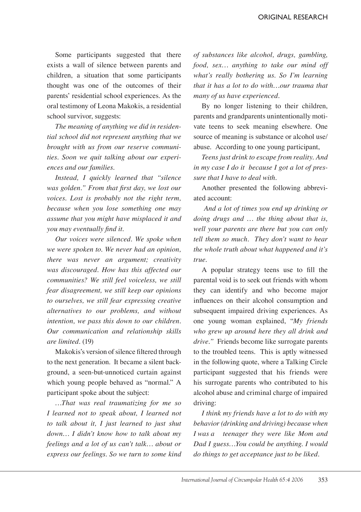Some participants suggested that there exists a wall of silence between parents and children, a situation that some participants thought was one of the outcomes of their parents' residential school experiences. As the oral testimony of Leona Makokis, a residential school survivor, suggests:

*The meaning of anything we did in residential school did not represent anything that we brought with us from our reserve communities. Soon we quit talking about our experiences and our families.*

*Instead, I quickly learned that "silence was golden." From that first day, we lost our voices. Lost is probably not the right term, because when you lose something one may assume that you might have misplaced it and you may eventually find it.*

*Our voices were silenced. We spoke when we were spoken to. We never had an opinion, there was never an argument; creativity was discouraged. How has this affected our communities? We still feel voiceless, we still fear disagreement, we still keep our opinions to ourselves, we still fear expressing creative alternatives to our problems, and without intention, we pass this down to our children. Our communication and relationship skills are limited.* (19)

Makokis's version of silence filtered through to the next generation. It became a silent background, a seen-but-unnoticed curtain against which young people behaved as "normal." A participant spoke about the subject:

*…That was real traumatizing for me so I learned not to speak about, I learned not to talk about it, I just learned to just shut down… I didn't know how to talk about my feelings and a lot of us can't talk… about or express our feelings. So we turn to some kind* 

*of substances like alcohol, drugs, gambling, food, sex… anything to take our mind off what's really bothering us. So I'm learning that it has a lot to do with…our trauma that many of us have experienced.*

By no longer listening to their children, parents and grandparents unintentionally motivate teens to seek meaning elsewhere. One source of meaning is substance or alcohol use/ abuse. According to one young participant,

*Teens just drink to escape from reality. And in my case I do it because I got a lot of pressure that I have to deal with*.

Another presented the following abbreviated account:

*And a lot of times you end up drinking or doing drugs and … the thing about that is, well your parents are there but you can only tell them so much. They don't want to hear the whole truth about what happened and it's true.*

A popular strategy teens use to fill the parental void is to seek out friends with whom they can identify and who become major influences on their alcohol consumption and subsequent impaired driving experiences. As one young woman explained, "*My friends who grew up around here they all drink and drive."* Friends become like surrogate parents to the troubled teens. This is aptly witnessed in the following quote, where a Talking Circle participant suggested that his friends were his surrogate parents who contributed to his alcohol abuse and criminal charge of impaired driving:

*I think my friends have a lot to do with my behavior (drinking and driving) because when I was a teenager they were like Mom and Dad I guess…You could be anything. I would do things to get acceptance just to be liked.*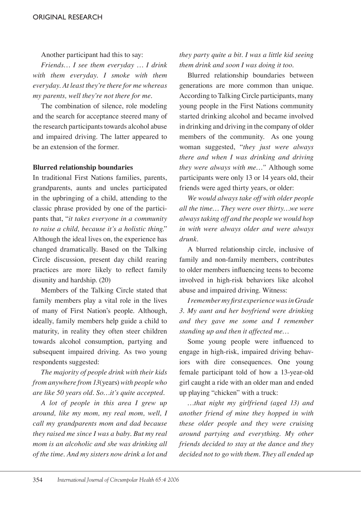Another participant had this to say:

*Friends… I see them everyday … I drink with them everyday. I smoke with them everyday. At least they're there for me whereas my parents, well they're not there for me.*

The combination of silence, role modeling and the search for acceptance steered many of the research participants towards alcohol abuse and impaired driving. The latter appeared to be an extension of the former.

## **Blurred relationship boundaries**

In traditional First Nations families, parents, grandparents, aunts and uncles participated in the upbringing of a child, attending to the classic phrase provided by one of the participants that, "*it takes everyone in a community to raise a child, because it's a holistic thing*." Although the ideal lives on, the experience has changed dramatically. Based on the Talking Circle discussion, present day child rearing practices are more likely to reflect family disunity and hardship. (20)

Members of the Talking Circle stated that family members play a vital role in the lives of many of First Nation's people. Although, ideally, family members help guide a child to maturity, in reality they often steer children towards alcohol consumption, partying and subsequent impaired driving. As two young respondents suggested:

*The majority of people drink with their kids from anywhere from 13*(years) *with people who are like 50 years old. So…it's quite accepted.*

*A lot of people in this area I grew up around, like my mom, my real mom, well, I call my grandparents mom and dad because they raised me since I was a baby. But my real mom is an alcoholic and she was drinking all of the time. And my sisters now drink a lot and*  *they party quite a bit. I was a little kid seeing them drink and soon I was doing it too.*

Blurred relationship boundaries between generations are more common than unique. According to Talking Circle participants, many young people in the First Nations community started drinking alcohol and became involved in drinking and driving in the company of older members of the community. As one young woman suggested, "*they just were always there and when I was drinking and driving they were always with me…"* Although some participants were only 13 or 14 years old, their friends were aged thirty years, or older:

*We would always take off with older people all the time… They were over thirty…we were always taking off and the people we would hop in with were always older and were always drunk.* 

A blurred relationship circle, inclusive of family and non-family members, contributes to older members influencing teens to become involved in high-risk behaviors like alcohol abuse and impaired driving. Witness:

*I remember my first experience was in Grade 3. My aunt and her boyfriend were drinking and they gave me some and I remember standing up and then it affected me…*

Some young people were influenced to engage in high-risk, impaired driving behaviors with dire consequences. One young female participant told of how a 13-year-old girl caught a ride with an older man and ended up playing "chicken" with a truck:

*…that night my girlfriend (aged 13) and another friend of mine they hopped in with these older people and they were cruising around partying and everything. My other friends decided to stay at the dance and they decided not to go with them. They all ended up*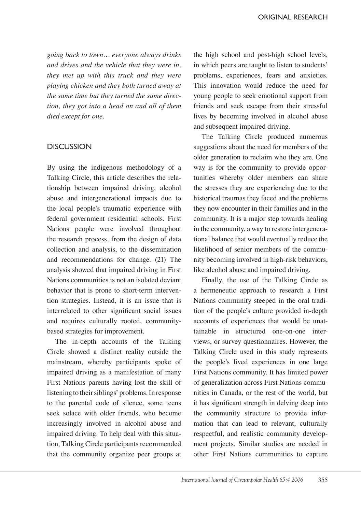*going back to town… everyone always drinks and drives and the vehicle that they were in, they met up with this truck and they were playing chicken and they both turned away at the same time but they turned the same direction, they got into a head on and all of them died except for one.*

## **DISCUSSION**

By using the indigenous methodology of a Talking Circle, this article describes the relationship between impaired driving, alcohol abuse and intergenerational impacts due to the local people's traumatic experience with federal government residential schools. First Nations people were involved throughout the research process, from the design of data collection and analysis, to the dissemination and recommendations for change. (21) The analysis showed that impaired driving in First Nations communities is not an isolated deviant behavior that is prone to short-term intervention strategies. Instead, it is an issue that is interrelated to other significant social issues and requires culturally rooted, communitybased strategies for improvement.

The in-depth accounts of the Talking Circle showed a distinct reality outside the mainstream, whereby participants spoke of impaired driving as a manifestation of many First Nations parents having lost the skill of listening to their siblings' problems. In response to the parental code of silence, some teens seek solace with older friends, who become increasingly involved in alcohol abuse and impaired driving. To help deal with this situation, Talking Circle participants recommended that the community organize peer groups at

the high school and post-high school levels, in which peers are taught to listen to students' problems, experiences, fears and anxieties. This innovation would reduce the need for young people to seek emotional support from friends and seek escape from their stressful lives by becoming involved in alcohol abuse and subsequent impaired driving.

The Talking Circle produced numerous suggestions about the need for members of the older generation to reclaim who they are. One way is for the community to provide opportunities whereby older members can share the stresses they are experiencing due to the historical traumas they faced and the problems they now encounter in their families and in the community. It is a major step towards healing in the community, a way to restore intergenerational balance that would eventually reduce the likelihood of senior members of the community becoming involved in high-risk behaviors, like alcohol abuse and impaired driving.

Finally, the use of the Talking Circle as a hermeneutic approach to research a First Nations community steeped in the oral tradition of the people's culture provided in-depth accounts of experiences that would be unattainable in structured one-on-one interviews, or survey questionnaires. However, the Talking Circle used in this study represents the people's lived experiences in one large First Nations community. It has limited power of generalization across First Nations communities in Canada, or the rest of the world, but it has significant strength in delving deep into the community structure to provide information that can lead to relevant, culturally respectful, and realistic community development projects. Similar studies are needed in other First Nations communities to capture